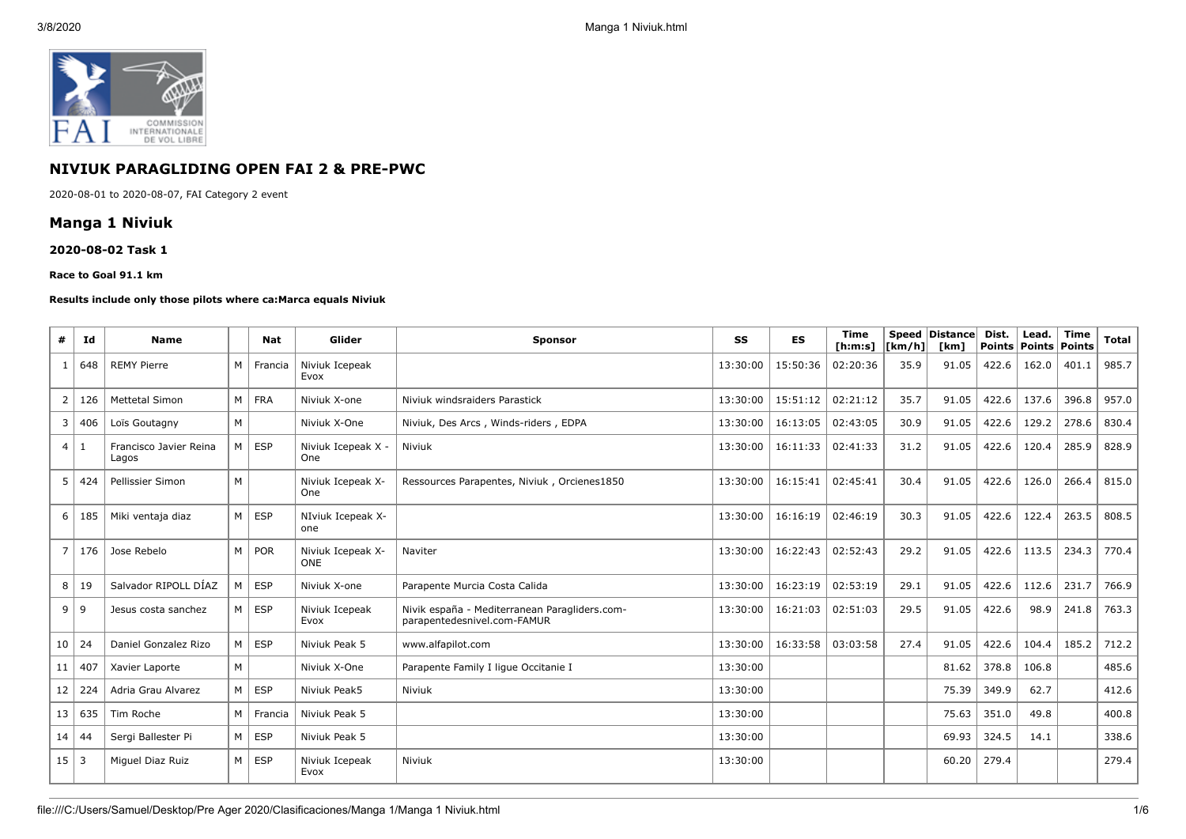

# **NIVIUK PARAGLIDING OPEN FAI 2 & PRE-PWC**

2020-08-01 to 2020-08-07, FAI Category 2 event

# **Manga 1 Niviuk**

#### **2020-08-02 Task 1**

#### **Race to Goal 91.1 km**

#### **Results include only those pilots where ca:Marca equals Niviuk**

| #              | Id             | <b>Name</b>                     |   | Nat        | Glider                          | <b>Sponsor</b>                                                               | SS       | <b>ES</b> | <b>Time</b><br>[ <b>h</b> : <b>m</b> : <b>s</b> ] | <b>Speed</b><br>[km/h] | Distance<br>[km] | Dist.<br>Points   Points   Points | Lead. | <b>Time</b> | <b>Total</b> |
|----------------|----------------|---------------------------------|---|------------|---------------------------------|------------------------------------------------------------------------------|----------|-----------|---------------------------------------------------|------------------------|------------------|-----------------------------------|-------|-------------|--------------|
|                | 648            | <b>REMY Pierre</b>              | M | Francia    | Niviuk Icepeak<br>Evox          |                                                                              | 13:30:00 | 15:50:36  | 02:20:36                                          | 35.9                   | 91.05            | 422.6                             | 162.0 | 401.1       | 985.7        |
| $\overline{2}$ | 126            | <b>Mettetal Simon</b>           | M | <b>FRA</b> | Niviuk X-one                    | Niviuk windsraiders Parastick                                                | 13:30:00 | 15:51:12  | 02:21:12                                          | 35.7                   | 91.05            | 422.6                             | 137.6 | 396.8       | 957.0        |
| 3              | 406            | Loïs Goutagny                   | M |            | Niviuk X-One                    | Niviuk, Des Arcs, Winds-riders, EDPA                                         | 13:30:00 | 16:13:05  | 02:43:05                                          | 30.9                   | 91.05            | 422.6                             | 129.2 | 278.6       | 830.4        |
| $\overline{4}$ | 1              | Francisco Javier Reina<br>Lagos | M | <b>ESP</b> | Niviuk Icepeak X -<br>One       | Niviuk                                                                       | 13:30:00 | 16:11:33  | 02:41:33                                          | 31.2                   | 91.05            | 422.6                             | 120.4 | 285.9       | 828.9        |
| 5              | 424            | Pellissier Simon                | M |            | Niviuk Icepeak X-<br>One        | Ressources Parapentes, Niviuk, Orcienes1850                                  | 13:30:00 | 16:15:41  | 02:45:41                                          | 30.4                   | 91.05            | 422.6                             | 126.0 | 266.4       | 815.0        |
| 6              | 185            | Miki ventaja diaz               | M | <b>ESP</b> | NIviuk Icepeak X-<br>one        |                                                                              | 13:30:00 | 16:16:19  | 02:46:19                                          | 30.3                   | 91.05            | 422.6                             | 122.4 | 263.5       | 808.5        |
| $\overline{7}$ | 176            | Jose Rebelo                     | M | POR        | Niviuk Icepeak X-<br><b>ONE</b> | Naviter                                                                      | 13:30:00 | 16:22:43  | 02:52:43                                          | 29.2                   | 91.05            | 422.6                             | 113.5 | 234.3       | 770.4        |
| 8              | 19             | Salvador RIPOLL DÍAZ            | M | <b>ESP</b> | Niviuk X-one                    | Parapente Murcia Costa Calida                                                | 13:30:00 | 16:23:19  | 02:53:19                                          | 29.1                   | 91.05            | 422.6                             | 112.6 | 231.7       | 766.9        |
| 9              | 9              | Jesus costa sanchez             | M | <b>ESP</b> | Niviuk Icepeak<br>Evox          | Nivik españa - Mediterranean Paragliders.com-<br>parapentedesnivel.com-FAMUR | 13:30:00 | 16:21:03  | 02:51:03                                          | 29.5                   | 91.05            | 422.6                             | 98.9  | 241.8       | 763.3        |
| 10             | 24             | Daniel Gonzalez Rizo            | M | <b>ESP</b> | Niviuk Peak 5                   | www.alfapilot.com                                                            | 13:30:00 | 16:33:58  | 03:03:58                                          | 27.4                   | 91.05            | 422.6                             | 104.4 | 185.2       | 712.2        |
| 11             | 407            | Xavier Laporte                  | M |            | Niviuk X-One                    | Parapente Family I lique Occitanie I                                         | 13:30:00 |           |                                                   |                        | 81.62            | 378.8                             | 106.8 |             | 485.6        |
| 12             | 224            | Adria Grau Alvarez              | M | ESP        | Niviuk Peak5                    | Niviuk                                                                       | 13:30:00 |           |                                                   |                        | 75.39            | 349.9                             | 62.7  |             | 412.6        |
| 13             | 635            | Tim Roche                       | M | Francia    | Niviuk Peak 5                   |                                                                              | 13:30:00 |           |                                                   |                        | 75.63            | 351.0                             | 49.8  |             | 400.8        |
| 14             | 44             | Sergi Ballester Pi              | M | ESP        | Niviuk Peak 5                   |                                                                              | 13:30:00 |           |                                                   |                        | 69.93            | 324.5                             | 14.1  |             | 338.6        |
| 15             | $\overline{3}$ | Miguel Diaz Ruiz                | M | <b>ESP</b> | Niviuk Icepeak<br>Evox          | Niviuk                                                                       | 13:30:00 |           |                                                   |                        | 60.20            | 279.4                             |       |             | 279.4        |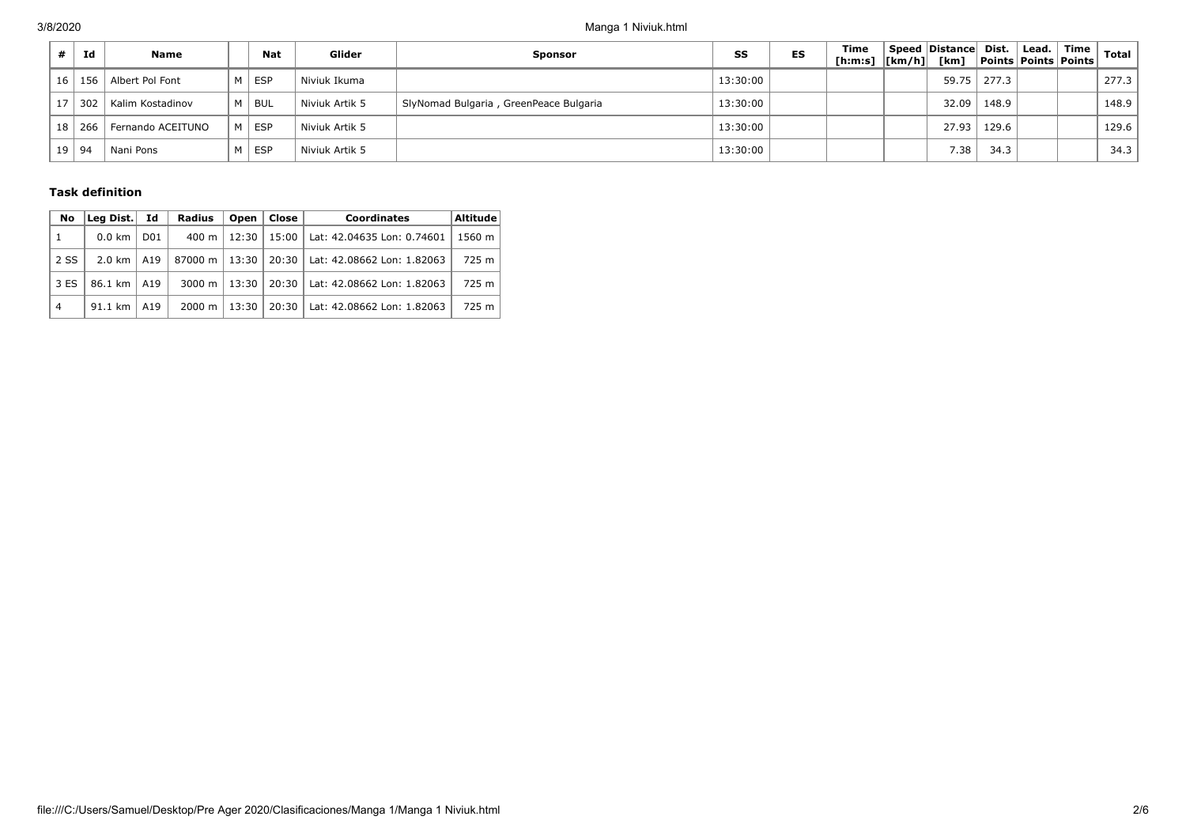| Id       | Name              | <b>Nat</b> | Glider         | <b>Sponsor</b>                         | SS       | ES | Time<br>[h:m:s] $\vert$ [km/h] $\vert$ [km] | Speed Distance Dist. |       | Lead.<br><b>Points Points Points</b> | Time | <b>Total</b> |
|----------|-------------------|------------|----------------|----------------------------------------|----------|----|---------------------------------------------|----------------------|-------|--------------------------------------|------|--------------|
| 16   156 | Albert Pol Font   | M ESP      | Niviuk Ikuma   |                                        | 13:30:00 |    |                                             | 59.75                | 277.3 |                                      |      | 277.3        |
| 302      | Kalim Kostadinov  | M BUL      | Niviuk Artik 5 | SlyNomad Bulgaria, GreenPeace Bulgaria | 13:30:00 |    |                                             | 32.09                | 148.9 |                                      |      | 148.9        |
| 18   266 | Fernando ACEITUNO | M ESP      | Niviuk Artik 5 |                                        | 13:30:00 |    |                                             | 27.93                | 129.6 |                                      |      | 129.6        |
| 19   94  | Mani Pons         | M ESP      | Niviuk Artik 5 |                                        | 13:30:00 |    |                                             | 7.38                 | 34.3  |                                      |      | 34.3         |

### **Task definition**

| No             | Lea Dist.        | Id              | <b>Radius</b>      | Open  | Close | <b>Coordinates</b>         | <b>Altitude</b> |
|----------------|------------------|-----------------|--------------------|-------|-------|----------------------------|-----------------|
|                | $0.0 \text{ km}$ | D <sub>01</sub> | 400 m              | 12:30 | 15:00 | Lat: 42.04635 Lon: 0.74601 | 1560 m          |
| 2 SS           | 2.0 km           | A19             | 87000 m            | 13:30 | 20:30 | Lat: 42.08662 Lon: 1.82063 | 725 m           |
| 3 ES           | 86.1 km          | A19             | 3000 m             | 13:30 | 20:30 | Lat: 42.08662 Lon: 1.82063 | 725 m           |
| $\overline{4}$ | 91.1 km          | A19             | $2000 \; \text{m}$ | 13:30 | 20:30 | Lat: 42.08662 Lon: 1.82063 | 725 m           |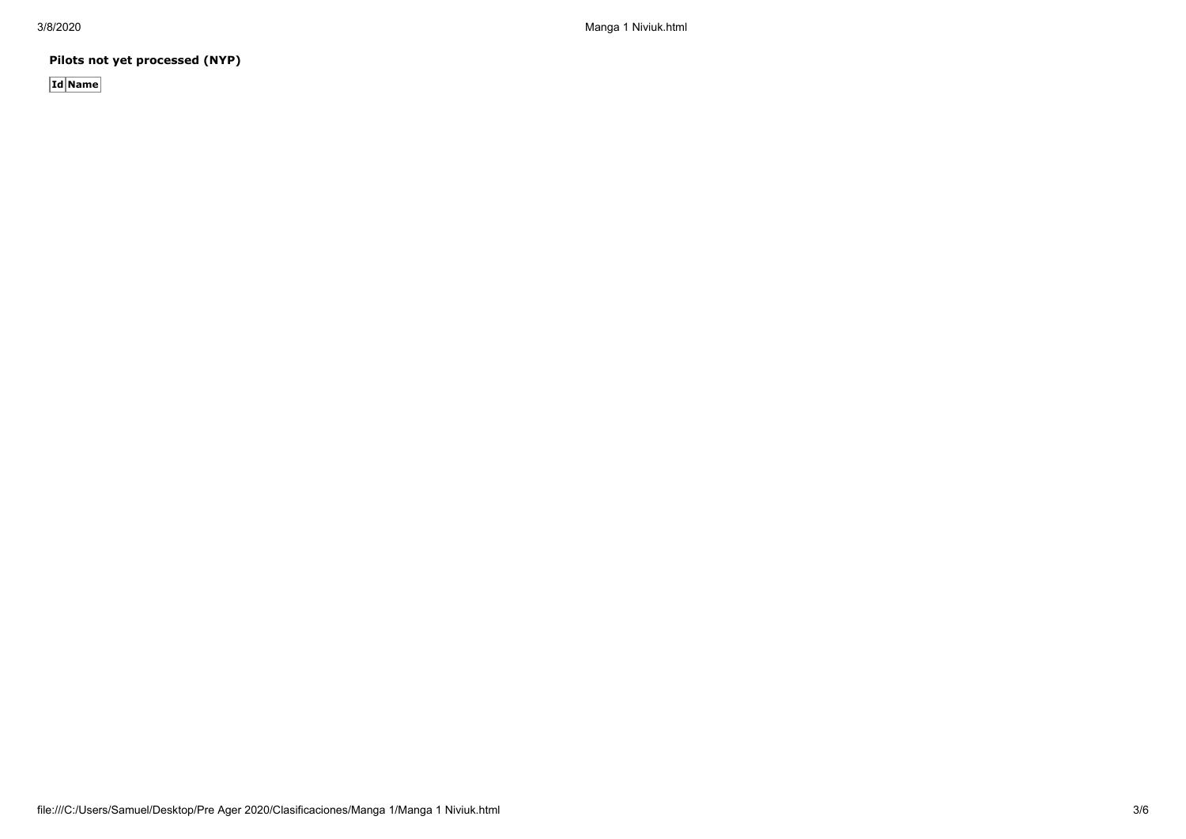3/8/2020 Manga 1 Niviuk.html

**Pilots not yet processed (NYP)**

**Id Name**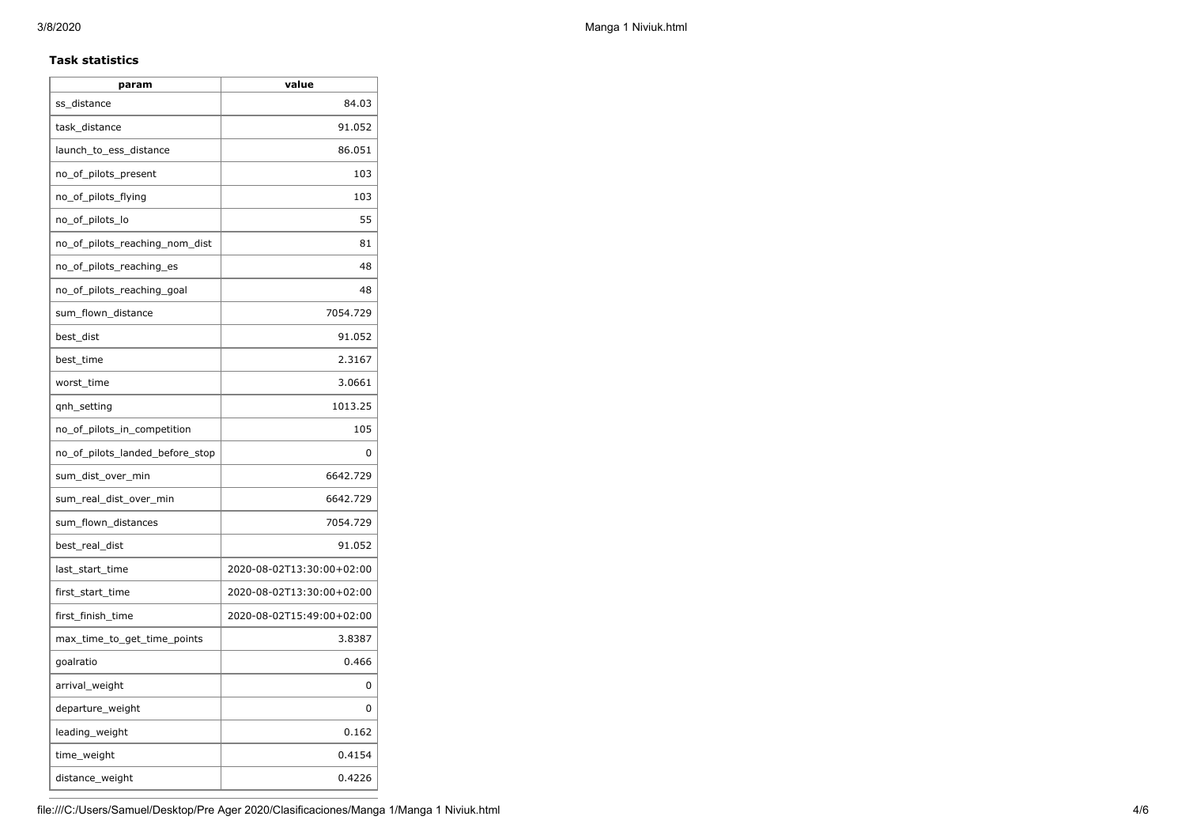### **Task statistics**

| param                           | value                     |
|---------------------------------|---------------------------|
| ss_distance                     | 84.03                     |
| task_distance                   | 91.052                    |
| launch_to_ess_distance          | 86.051                    |
| no_of_pilots_present            | 103                       |
| no_of_pilots_flying             | 103                       |
| no_of_pilots_lo                 | 55                        |
| no_of_pilots_reaching_nom_dist  | 81                        |
| no_of_pilots_reaching_es        | 48                        |
| no_of_pilots_reaching_goal      | 48                        |
| sum_flown_distance              | 7054.729                  |
| best_dist                       | 91.052                    |
| best_time                       | 2.3167                    |
| worst_time                      | 3.0661                    |
| qnh_setting                     | 1013.25                   |
| no_of_pilots_in_competition     | 105                       |
| no_of_pilots_landed_before_stop | 0                         |
| sum_dist_over_min               | 6642.729                  |
| sum_real_dist_over_min          | 6642.729                  |
| sum_flown_distances             | 7054.729                  |
| best_real_dist                  | 91.052                    |
| last_start_time                 | 2020-08-02T13:30:00+02:00 |
| first_start_time                | 2020-08-02T13:30:00+02:00 |
| first_finish_time               | 2020-08-02T15:49:00+02:00 |
| max_time_to_get_time_points     | 3.8387                    |
| goalratio                       | 0.466                     |
| arrival_weight                  | 0                         |
| departure_weight                | 0                         |
| leading_weight                  | 0.162                     |
| time_weight                     | 0.4154                    |
| distance_weight                 | 0.4226                    |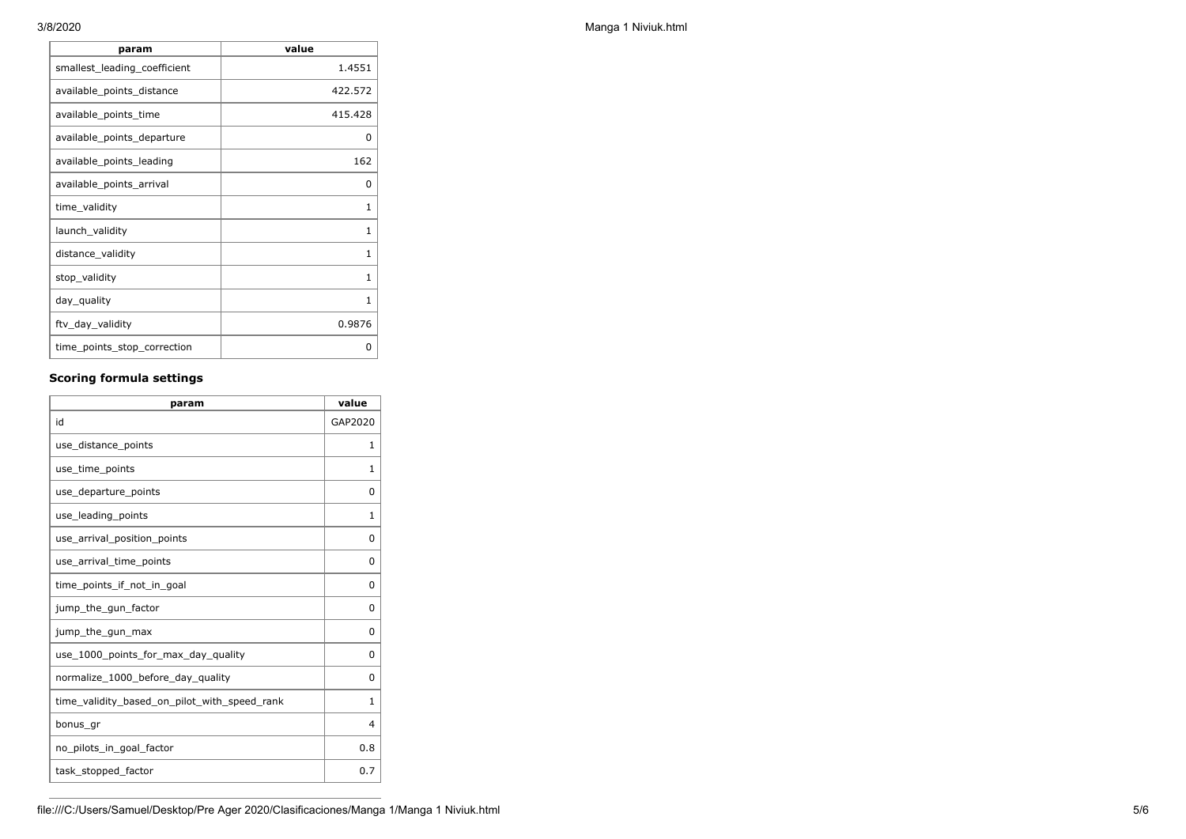| param                        | value        |
|------------------------------|--------------|
| smallest_leading_coefficient | 1.4551       |
| available_points_distance    | 422.572      |
| available_points_time        | 415.428      |
| available_points_departure   | 0            |
| available_points_leading     | 162          |
| available_points_arrival     | 0            |
| time_validity                | 1            |
| launch_validity              | $\mathbf{1}$ |
| distance_validity            | $\mathbf{1}$ |
| stop_validity                | 1            |
| day_quality                  | $\mathbf{1}$ |
| ftv_day_validity             | 0.9876       |
| time_points_stop_correction  | ი            |

# **Scoring formula settings**

| param                                        | value        |
|----------------------------------------------|--------------|
| id                                           | GAP2020      |
| use_distance_points                          | 1            |
| use_time_points                              | 1            |
| use_departure_points                         | $\Omega$     |
| use_leading_points                           | 1            |
| use_arrival_position_points                  | 0            |
| use_arrival_time_points                      | 0            |
| time points if not in goal                   | 0            |
| jump_the_gun_factor                          | $\Omega$     |
| jump_the_gun_max                             | 0            |
| use_1000_points_for_max_day_quality          | 0            |
| normalize_1000_before_day_quality            | $\Omega$     |
| time_validity_based_on_pilot_with_speed_rank | $\mathbf{1}$ |
| bonus gr                                     | 4            |
| no_pilots_in_goal_factor                     | 0.8          |
| task_stopped_factor                          | 0.7          |